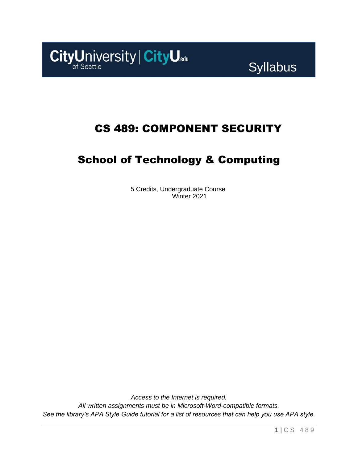

## CS 489: COMPONENT SECURITY

## School of Technology & Computing

5 Credits, Undergraduate Course Winter 2021

*Access to the Internet is required. All written assignments must be in Microsoft-Word-compatible formats. See the library's APA Style Guide tutorial for a list of resources that can help you use APA style.*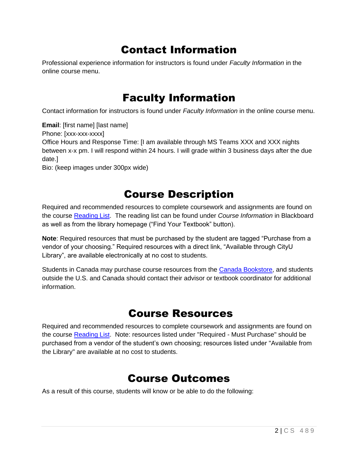## Contact Information

Professional experience information for instructors is found under *Faculty Information* in the online course menu.

### Faculty Information

Contact information for instructors is found under *Faculty Information* in the online course menu.

**Email**: [first name] [last name] Phone: [xxx-xxx-xxxx] Office Hours and Response Time: [I am available through MS Teams XXX and XXX nights between x-x pm. I will respond within 24 hours. I will grade within 3 business days after the due date.] Bio: (keep images under 300px wide)

### Course Description

Required and recommended resources to complete coursework and assignments are found on the course [Reading List.](https://cityu.alma.exlibrisgroup.com/leganto/login?auth=SAML) The reading list can be found under *Course Information* in Blackboard as well as from the library homepage ("Find Your Textbook" button).

**Note**: Required resources that must be purchased by the student are tagged "Purchase from a vendor of your choosing." Required resources with a direct link, "Available through CityU Library", are available electronically at no cost to students.

Students in Canada may purchase course resources from the [Canada Bookstore,](https://www.cityubookstore.ca/index.asp) and students outside the U.S. and Canada should contact their advisor or textbook coordinator for additional information.

### Course Resources

Required and recommended resources to complete coursework and assignments are found on the course [Reading List.](https://cityu.alma.exlibrisgroup.com/leganto/login?auth=SAML) Note: resources listed under "Required - Must Purchase" should be purchased from a vendor of the student's own choosing; resources listed under "Available from the Library" are available at no cost to students.

### Course Outcomes

As a result of this course, students will know or be able to do the following: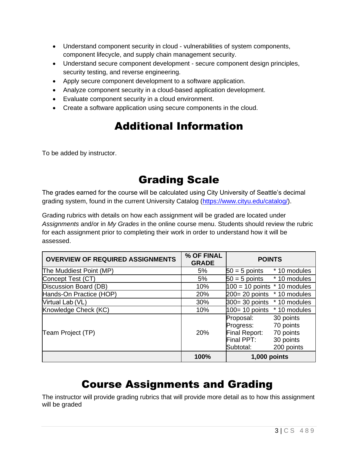- Understand component security in cloud vulnerabilities of system components, component lifecycle, and supply chain management security.
- Understand secure component development secure component design principles, security testing, and reverse engineering.
- Apply secure component development to a software application.
- Analyze component security in a cloud-based application development.
- Evaluate component security in a cloud environment.
- Create a software application using secure components in the cloud.

# Additional Information

To be added by instructor.

## Grading Scale

The grades earned for the course will be calculated using City University of Seattle's decimal grading system, found in the current University Catalog [\(https://www.cityu.edu/catalog/\)](https://www.cityu.edu/catalog/).

Grading rubrics with details on how each assignment will be graded are located under *Assignments* and/or in *My Grades* in the online course menu. Students should review the rubric for each assignment prior to completing their work in order to understand how it will be assessed.

| <b>OVERVIEW OF REQUIRED ASSIGNMENTS</b> | % OF FINAL<br><b>GRADE</b> | <b>POINTS</b>                                                                                                                        |
|-----------------------------------------|----------------------------|--------------------------------------------------------------------------------------------------------------------------------------|
| The Muddiest Point (MP)                 | 5%                         | $50 = 5$ points<br>* 10 modules                                                                                                      |
| Concept Test (CT)                       | 5%                         | $50 = 5$ points $*10$ modules                                                                                                        |
| Discussion Board (DB)                   | 10%                        | $100 = 10$ points $*$ 10 modules                                                                                                     |
| Hands-On Practice (HOP)                 | 20%                        | $200 = 20$ points $*10$ modules                                                                                                      |
| Virtual Lab (VL)                        | 30%                        | $300 = 30$ points $*10$ modules                                                                                                      |
| Knowledge Check (KC)                    | 10%                        | $100 = 10$ points $*10$ modules                                                                                                      |
| Team Project (TP)                       | 20%                        | 30 points<br>Proposal:<br>70 points<br>Progress:<br>70 points<br>Final Report:<br>Final PPT:<br>30 points<br>200 points<br>Subtotal: |
|                                         | 100%                       | 1,000 points                                                                                                                         |

### Course Assignments and Grading

The instructor will provide grading rubrics that will provide more detail as to how this assignment will be graded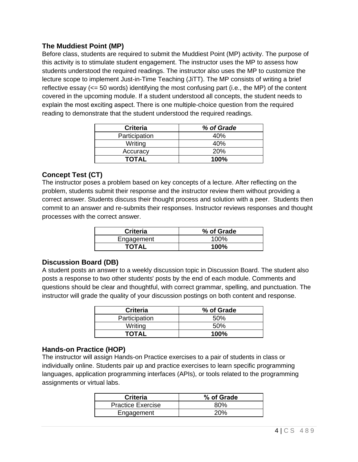#### **The Muddiest Point (MP)**

Before class, students are required to submit the Muddiest Point (MP) activity. The purpose of this activity is to stimulate student engagement. The instructor uses the MP to assess how students understood the required readings. The instructor also uses the MP to customize the lecture scope to implement Just-in-Time Teaching (JiTT). The MP consists of writing a brief reflective essay (<= 50 words) identifying the most confusing part (i.e., the MP) of the content covered in the upcoming module. If a student understood all concepts, the student needs to explain the most exciting aspect. There is one multiple-choice question from the required reading to demonstrate that the student understood the required readings.

| <b>Criteria</b> | % of Grade |
|-----------------|------------|
| Participation   | 40%        |
| Writing         | 40%        |
| Accuracy        | 20%        |
| <b>TOTAL</b>    | 100%       |

#### **Concept Test (CT)**

The instructor poses a problem based on key concepts of a lecture. After reflecting on the problem, students submit their response and the instructor review them without providing a correct answer. Students discuss their thought process and solution with a peer. Students then commit to an answer and re-submits their responses. Instructor reviews responses and thought processes with the correct answer.

| <b>Criteria</b> | % of Grade |
|-----------------|------------|
| Engagement      | $100\%$    |
| <b>TOTAL</b>    | 100%       |

#### **Discussion Board (DB)**

A student posts an answer to a weekly discussion topic in Discussion Board. The student also posts a response to two other students' posts by the end of each module. Comments and questions should be clear and thoughtful, with correct grammar, spelling, and punctuation. The instructor will grade the quality of your discussion postings on both content and response.

| <b>Criteria</b> | % of Grade |
|-----------------|------------|
| Participation   | .50%       |
| Writing         | .50%       |
| TOTAL           | $100\%$    |

#### **Hands-on Practice (HOP)**

The instructor will assign Hands-on Practice exercises to a pair of students in class or individually online. Students pair up and practice exercises to learn specific programming languages, application programming interfaces (APIs), or tools related to the programming assignments or virtual labs.

| <b>Criteria</b>          | % of Grade |
|--------------------------|------------|
| <b>Practice Exercise</b> | 80%        |
| Engagement               | 20%        |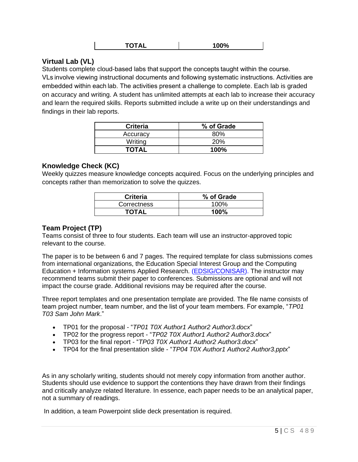#### **Virtual Lab (VL)**

Students complete cloud-based labs that support the concepts taught within the course. VLs involve viewing instructional documents and following systematic instructions. Activities are embedded within each lab. The activities present a challenge to complete. Each lab is graded on accuracy and writing. A student has unlimited attempts at each lab to increase their accuracy and learn the required skills. Reports submitted include a write up on their understandings and findings in their lab reports.

| <b>Criteria</b> | % of Grade |
|-----------------|------------|
| Accuracy        | 80%        |
| Writing         | 20%        |
| <b>TOTAL</b>    | 100%       |

#### **Knowledge Check (KC)**

Weekly quizzes measure knowledge concepts acquired. Focus on the underlying principles and concepts rather than memorization to solve the quizzes.

| <b>Criteria</b> | % of Grade |
|-----------------|------------|
| Correctness     | 100%       |
| <b>TOTAL</b>    | 100%       |

#### **Team Project (TP)**

Teams consist of three to four students. Each team will use an instructor-approved topic relevant to the course.

The paper is to be between 6 and 7 pages. The required template for class submissions comes from international organizations, the Education Special Interest Group and the Computing Education + Information systems Applied Research. [\(EDSIG/CONISAR\)](https://edsig.org/). The instructor may recommend teams submit their paper to conferences. Submissions are optional and will not impact the course grade. Additional revisions may be required after the course.

Three report templates and one presentation template are provided. The file name consists of team project number, team number, and the list of your team members. For example, "*TP01 T03 Sam John Mark*."

- TP01 for the proposal "*TP01 T0X Author1 Author2 Author3.docx*"
- TP02 for the progress report "*TP02 T0X Author1 Author2 Author3.docx*"
- TP03 for the final report "*TP03 T0X Author1 Author2 Author3.docx*"
- TP04 for the final presentation slide "*TP04 T0X Author1 Author2 Author3.pptx*"

As in any scholarly writing, students should not merely copy information from another author. Students should use evidence to support the contentions they have drawn from their findings and critically analyze related literature. In essence, each paper needs to be an analytical paper, not a summary of readings.

In addition, a team Powerpoint slide deck presentation is required.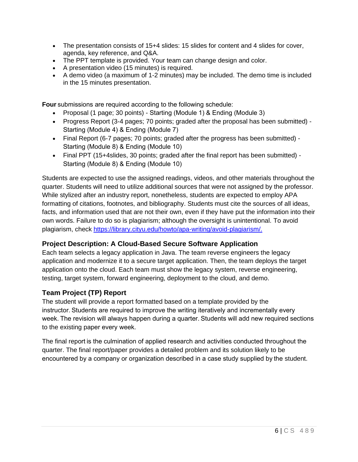- The presentation consists of 15+4 slides: 15 slides for content and 4 slides for cover, agenda, key reference, and Q&A.
- The PPT template is provided. Your team can change design and color.
- A presentation video (15 minutes) is required.
- A demo video (a maximum of 1-2 minutes) may be included. The demo time is included in the 15 minutes presentation.

**Four** submissions are required according to the following schedule: 

- Proposal (1 page; 30 points) Starting (Module 1) & Ending (Module 3)
- Progress Report (3-4 pages; 70 points; graded after the proposal has been submitted) Starting (Module 4) & Ending (Module 7)
- Final Report (6-7 pages; 70 points; graded after the progress has been submitted) Starting (Module 8) & Ending (Module 10)
- Final PPT (15+4slides, 30 points; graded after the final report has been submitted) Starting (Module 8) & Ending (Module 10)

Students are expected to use the assigned readings, videos, and other materials throughout the quarter. Students will need to utilize additional sources that were not assigned by the professor. While stylized after an industry report, nonetheless, students are expected to employ APA formatting of citations, footnotes, and bibliography. Students must cite the sources of all ideas, facts, and information used that are not their own, even if they have put the information into their own words. Failure to do so is plagiarism; although the oversight is unintentional. To avoid plagiarism, check [https://library.cityu.edu/howto/apa-writing/avoid-plagiarism/.](https://library.cityu.edu/howto/apa-writing/avoid-plagiarism/)

#### **Project Description: A Cloud-Based Secure Software Application**

Each team selects a legacy application in Java. The team reverse engineers the legacy application and modernize it to a secure target application. Then, the team deploys the target application onto the cloud. Each team must show the legacy system, reverse engineering, testing, target system, forward engineering, deployment to the cloud, and demo.

### **Team Project (TP) Report**

The student will provide a report formatted based on a template provided by the instructor. Students are required to improve the writing iteratively and incrementally every week. The revision will always happen during a quarter. Students will add new required sections to the existing paper every week.  

The final report is the culmination of applied research and activities conducted throughout the quarter. The final report/paper provides a detailed problem and its solution likely to be encountered by a company or organization described in a case study supplied by the student.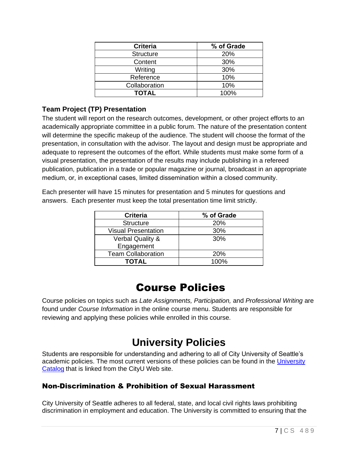| <b>Criteria</b>  | % of Grade |
|------------------|------------|
| <b>Structure</b> | 20%        |
| Content          | 30%        |
| Writing          | 30%        |
| Reference        | 10%        |
| Collaboration    | 10%        |
| <b>TOTAL</b>     | 100%       |

#### **Team Project (TP) Presentation**

The student will report on the research outcomes, development, or other project efforts to an academically appropriate committee in a public forum. The nature of the presentation content will determine the specific makeup of the audience. The student will choose the format of the presentation, in consultation with the advisor. The layout and design must be appropriate and adequate to represent the outcomes of the effort. While students must make some form of a visual presentation, the presentation of the results may include publishing in a refereed publication, publication in a trade or popular magazine or journal, broadcast in an appropriate medium, or, in exceptional cases, limited dissemination within a closed community. 

Each presenter will have 15 minutes for presentation and 5 minutes for questions and answers. Each presenter must keep the total presentation time limit strictly.

| <b>Criteria</b>             | % of Grade |
|-----------------------------|------------|
| <b>Structure</b>            | 20%        |
| <b>Visual Presentation</b>  | 30%        |
| <b>Verbal Quality &amp;</b> | 30%        |
| Engagement                  |            |
| <b>Team Collaboration</b>   | <b>20%</b> |
| <b>TOTAL</b>                | 100%       |

### Course Policies

Course policies on topics such as *Late Assignments, Participation,* and *Professional Writing* are found under *Course Information* in the online course menu. Students are responsible for reviewing and applying these policies while enrolled in this course.

## **University Policies**

Students are responsible for understanding and adhering to all of City University of Seattle's academic policies. The most current versions of these policies can be found in the [University](http://www.cityu.edu/catalog/)  [Catalog](http://www.cityu.edu/catalog/) that is linked from the CityU Web site.

#### Non-Discrimination & Prohibition of Sexual Harassment

City University of Seattle adheres to all federal, state, and local civil rights laws prohibiting discrimination in employment and education. The University is committed to ensuring that the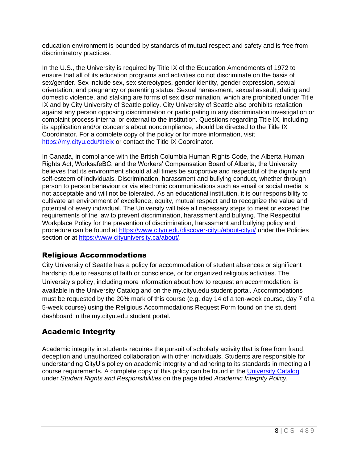education environment is bounded by standards of mutual respect and safety and is free from discriminatory practices.

In the U.S., the University is required by Title IX of the Education Amendments of 1972 to ensure that all of its education programs and activities do not discriminate on the basis of sex/gender. Sex include sex, sex stereotypes, gender identity, gender expression, sexual orientation, and pregnancy or parenting status. Sexual harassment, sexual assault, dating and domestic violence, and stalking are forms of sex discrimination, which are prohibited under Title IX and by City University of Seattle policy. City University of Seattle also prohibits retaliation against any person opposing discrimination or participating in any discrimination investigation or complaint process internal or external to the institution. Questions regarding Title IX, including its application and/or concerns about noncompliance, should be directed to the Title IX Coordinator. For a complete copy of the policy or for more information, visit <https://my.cityu.edu/titleix> or contact the Title IX Coordinator.

In Canada, in compliance with the British Columbia Human Rights Code, the Alberta Human Rights Act, WorksafeBC, and the Workers' Compensation Board of Alberta, the University believes that its environment should at all times be supportive and respectful of the dignity and self-esteem of individuals. Discrimination, harassment and bullying conduct, whether through person to person behaviour or via electronic communications such as email or social media is not acceptable and will not be tolerated. As an educational institution, it is our responsibility to cultivate an environment of excellence, equity, mutual respect and to recognize the value and potential of every individual. The University will take all necessary steps to meet or exceed the requirements of the law to prevent discrimination, harassment and bullying. The Respectful Workplace Policy for the prevention of discrimination, harassment and bullying policy and procedure can be found at<https://www.cityu.edu/discover-cityu/about-cityu/> under the Policies section or at [https://www.cityuniversity.ca/about/.](https://www.cityuniversity.ca/about/)

### Religious Accommodations

City University of Seattle has a policy for accommodation of student absences or significant hardship due to reasons of faith or conscience, or for organized religious activities. The University's policy, including more information about how to request an accommodation, is available in the University Catalog and on the my.cityu.edu student portal. Accommodations must be requested by the 20% mark of this course (e.g. day 14 of a ten-week course, day 7 of a 5-week course) using the Religious Accommodations Request Form found on the student dashboard in the my.cityu.edu student portal.

### Academic Integrity

Academic integrity in students requires the pursuit of scholarly activity that is free from fraud, deception and unauthorized collaboration with other individuals. Students are responsible for understanding CityU's policy on academic integrity and adhering to its standards in meeting all course requirements. A complete copy of this policy can be found in the [University Catalog](http://www.cityu.edu/catalog/) under *Student Rights and Responsibilities* on the page titled *Academic Integrity Policy.*